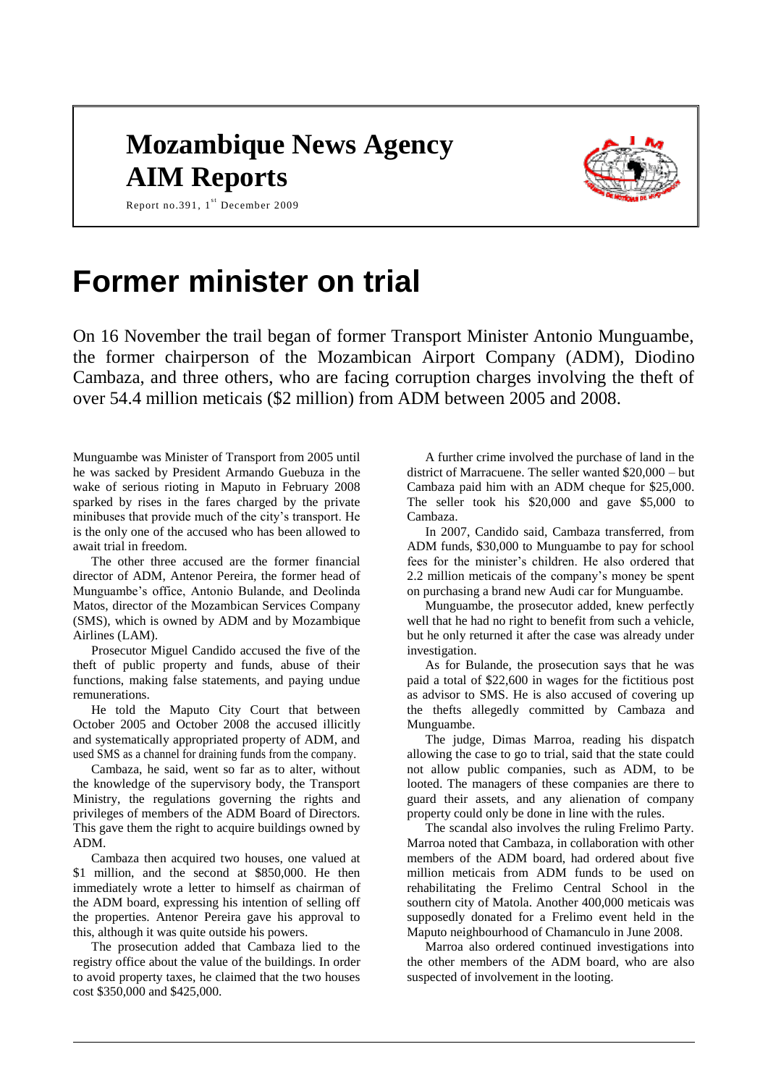# **Mozambique News Agency AIM Reports**



Report no.391,  $1^{st}$  December 2009

# **Former minister on trial**

On 16 November the trail began of former Transport Minister Antonio Munguambe, the former chairperson of the Mozambican Airport Company (ADM), Diodino Cambaza, and three others, who are facing corruption charges involving the theft of over 54.4 million meticais (\$2 million) from ADM between 2005 and 2008.

Munguambe was Minister of Transport from 2005 until he was sacked by President Armando Guebuza in the wake of serious rioting in Maputo in February 2008 sparked by rises in the fares charged by the private minibuses that provide much of the city's transport. He is the only one of the accused who has been allowed to await trial in freedom.

The other three accused are the former financial director of ADM, Antenor Pereira, the former head of Munguambe's office, Antonio Bulande, and Deolinda Matos, director of the Mozambican Services Company (SMS), which is owned by ADM and by Mozambique Airlines (LAM).

Prosecutor Miguel Candido accused the five of the theft of public property and funds, abuse of their functions, making false statements, and paying undue remunerations.

He told the Maputo City Court that between October 2005 and October 2008 the accused illicitly and systematically appropriated property of ADM, and used SMS as a channel for draining funds from the company.

Cambaza, he said, went so far as to alter, without the knowledge of the supervisory body, the Transport Ministry, the regulations governing the rights and privileges of members of the ADM Board of Directors. This gave them the right to acquire buildings owned by ADM.

Cambaza then acquired two houses, one valued at \$1 million, and the second at \$850,000. He then immediately wrote a letter to himself as chairman of the ADM board, expressing his intention of selling off the properties. Antenor Pereira gave his approval to this, although it was quite outside his powers.

The prosecution added that Cambaza lied to the registry office about the value of the buildings. In order to avoid property taxes, he claimed that the two houses cost \$350,000 and \$425,000.

A further crime involved the purchase of land in the district of Marracuene. The seller wanted \$20,000 – but Cambaza paid him with an ADM cheque for \$25,000. The seller took his \$20,000 and gave \$5,000 to Cambaza.

In 2007, Candido said, Cambaza transferred, from ADM funds, \$30,000 to Munguambe to pay for school fees for the minister's children. He also ordered that 2.2 million meticais of the company's money be spent on purchasing a brand new Audi car for Munguambe.

Munguambe, the prosecutor added, knew perfectly well that he had no right to benefit from such a vehicle, but he only returned it after the case was already under investigation.

As for Bulande, the prosecution says that he was paid a total of \$22,600 in wages for the fictitious post as advisor to SMS. He is also accused of covering up the thefts allegedly committed by Cambaza and Munguambe.

The judge, Dimas Marroa, reading his dispatch allowing the case to go to trial, said that the state could not allow public companies, such as ADM, to be looted. The managers of these companies are there to guard their assets, and any alienation of company property could only be done in line with the rules.

The scandal also involves the ruling Frelimo Party. Marroa noted that Cambaza, in collaboration with other members of the ADM board, had ordered about five million meticais from ADM funds to be used on rehabilitating the Frelimo Central School in the southern city of Matola. Another 400,000 meticais was supposedly donated for a Frelimo event held in the Maputo neighbourhood of Chamanculo in June 2008.

Marroa also ordered continued investigations into the other members of the ADM board, who are also suspected of involvement in the looting.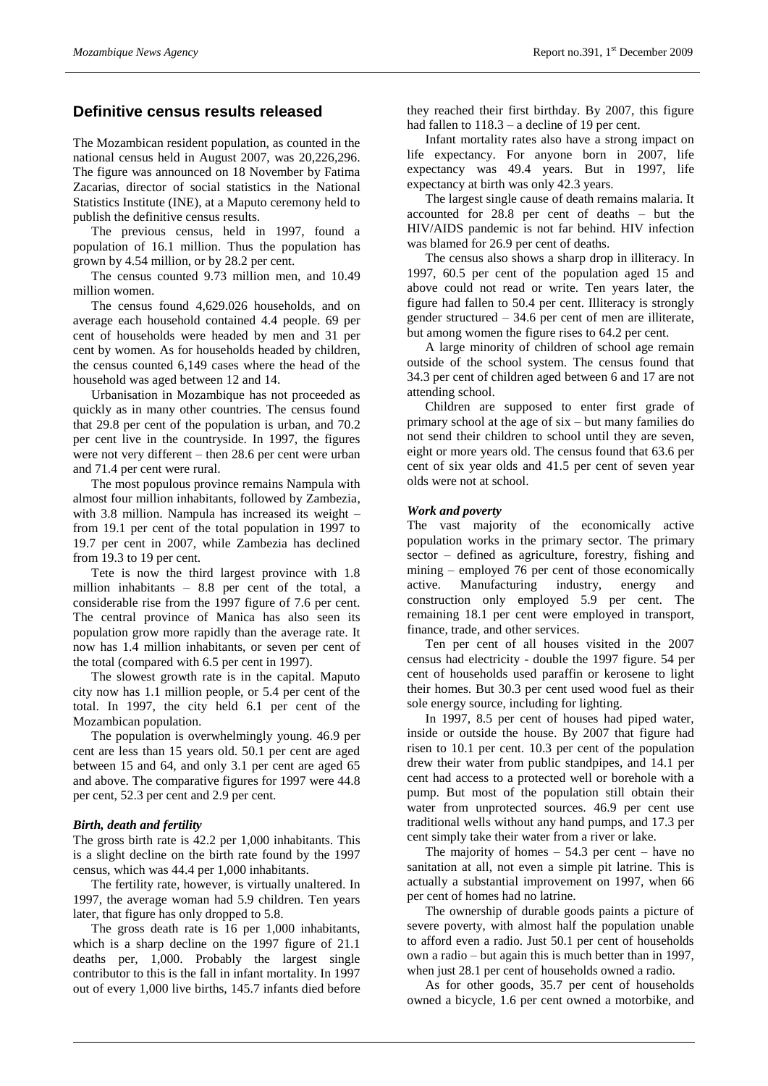## **Definitive census results released**

The Mozambican resident population, as counted in the national census held in August 2007, was 20,226,296. The figure was announced on 18 November by Fatima Zacarias, director of social statistics in the National Statistics Institute (INE), at a Maputo ceremony held to publish the definitive census results.

The previous census, held in 1997, found a population of 16.1 million. Thus the population has grown by 4.54 million, or by 28.2 per cent.

The census counted 9.73 million men, and 10.49 million women.

The census found 4,629.026 households, and on average each household contained 4.4 people. 69 per cent of households were headed by men and 31 per cent by women. As for households headed by children, the census counted 6,149 cases where the head of the household was aged between 12 and 14.

Urbanisation in Mozambique has not proceeded as quickly as in many other countries. The census found that 29.8 per cent of the population is urban, and 70.2 per cent live in the countryside. In 1997, the figures were not very different – then 28.6 per cent were urban and 71.4 per cent were rural.

The most populous province remains Nampula with almost four million inhabitants, followed by Zambezia, with 3.8 million. Nampula has increased its weight – from 19.1 per cent of the total population in 1997 to 19.7 per cent in 2007, while Zambezia has declined from 19.3 to 19 per cent.

Tete is now the third largest province with 1.8 million inhabitants – 8.8 per cent of the total, a considerable rise from the 1997 figure of 7.6 per cent. The central province of Manica has also seen its population grow more rapidly than the average rate. It now has 1.4 million inhabitants, or seven per cent of the total (compared with 6.5 per cent in 1997).

The slowest growth rate is in the capital. Maputo city now has 1.1 million people, or 5.4 per cent of the total. In 1997, the city held 6.1 per cent of the Mozambican population.

The population is overwhelmingly young. 46.9 per cent are less than 15 years old. 50.1 per cent are aged between 15 and 64, and only 3.1 per cent are aged 65 and above. The comparative figures for 1997 were 44.8 per cent, 52.3 per cent and 2.9 per cent.

#### *Birth, death and fertility*

The gross birth rate is 42.2 per 1,000 inhabitants. This is a slight decline on the birth rate found by the 1997 census, which was 44.4 per 1,000 inhabitants.

The fertility rate, however, is virtually unaltered. In 1997, the average woman had 5.9 children. Ten years later, that figure has only dropped to 5.8.

The gross death rate is 16 per 1,000 inhabitants, which is a sharp decline on the 1997 figure of 21.1 deaths per, 1,000. Probably the largest single contributor to this is the fall in infant mortality. In 1997 out of every 1,000 live births, 145.7 infants died before

they reached their first birthday. By 2007, this figure had fallen to  $118.3 - a$  decline of 19 per cent.

Infant mortality rates also have a strong impact on life expectancy. For anyone born in 2007, life expectancy was 49.4 years. But in 1997, life expectancy at birth was only 42.3 years.

The largest single cause of death remains malaria. It accounted for 28.8 per cent of deaths – but the HIV/AIDS pandemic is not far behind. HIV infection was blamed for 26.9 per cent of deaths.

The census also shows a sharp drop in illiteracy. In 1997, 60.5 per cent of the population aged 15 and above could not read or write. Ten years later, the figure had fallen to 50.4 per cent. Illiteracy is strongly gender structured – 34.6 per cent of men are illiterate, but among women the figure rises to 64.2 per cent.

A large minority of children of school age remain outside of the school system. The census found that 34.3 per cent of children aged between 6 and 17 are not attending school.

Children are supposed to enter first grade of primary school at the age of six – but many families do not send their children to school until they are seven, eight or more years old. The census found that 63.6 per cent of six year olds and 41.5 per cent of seven year olds were not at school.

#### *Work and poverty*

The vast majority of the economically active population works in the primary sector. The primary sector – defined as agriculture, forestry, fishing and mining – employed 76 per cent of those economically active. Manufacturing industry, energy and construction only employed 5.9 per cent. The remaining 18.1 per cent were employed in transport, finance, trade, and other services.

Ten per cent of all houses visited in the 2007 census had electricity - double the 1997 figure. 54 per cent of households used paraffin or kerosene to light their homes. But 30.3 per cent used wood fuel as their sole energy source, including for lighting.

In 1997, 8.5 per cent of houses had piped water, inside or outside the house. By 2007 that figure had risen to 10.1 per cent. 10.3 per cent of the population drew their water from public standpipes, and 14.1 per cent had access to a protected well or borehole with a pump. But most of the population still obtain their water from unprotected sources. 46.9 per cent use traditional wells without any hand pumps, and 17.3 per cent simply take their water from a river or lake.

The majority of homes  $-54.3$  per cent – have no sanitation at all, not even a simple pit latrine. This is actually a substantial improvement on 1997, when 66 per cent of homes had no latrine.

The ownership of durable goods paints a picture of severe poverty, with almost half the population unable to afford even a radio. Just 50.1 per cent of households own a radio – but again this is much better than in 1997, when just 28.1 per cent of households owned a radio.

As for other goods, 35.7 per cent of households owned a bicycle, 1.6 per cent owned a motorbike, and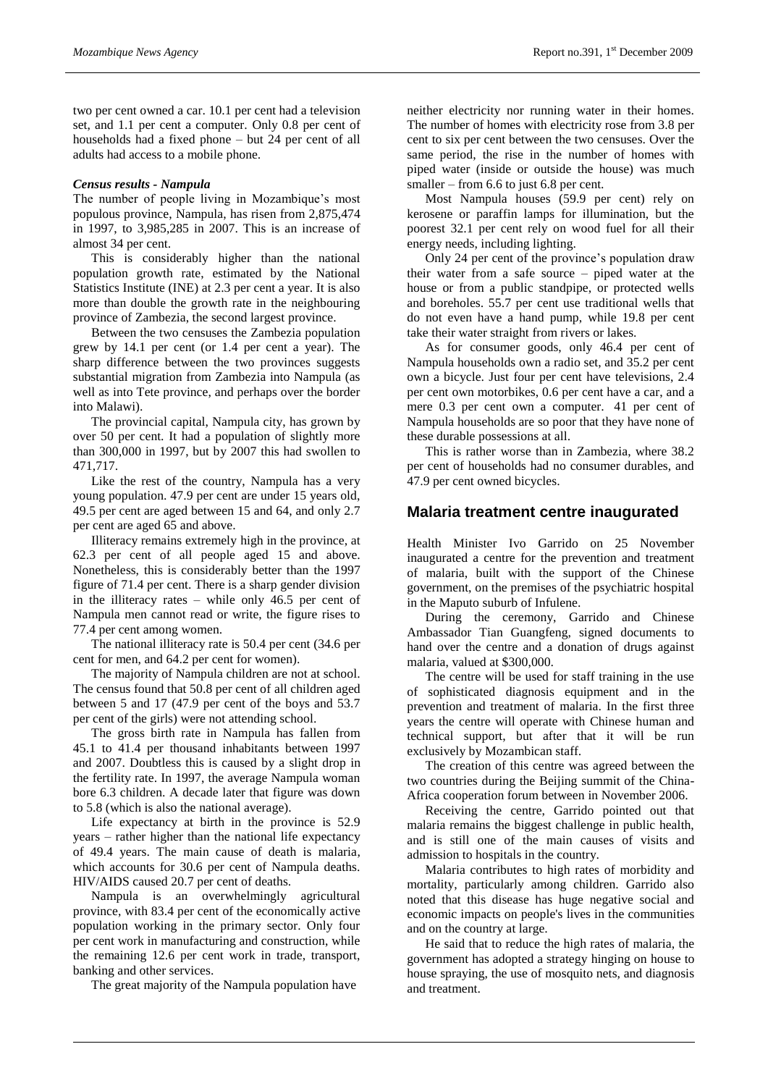two per cent owned a car. 10.1 per cent had a television set, and 1.1 per cent a computer. Only 0.8 per cent of households had a fixed phone – but 24 per cent of all adults had access to a mobile phone.

#### *Census results - Nampula*

The number of people living in Mozambique's most populous province, Nampula, has risen from 2,875,474 in 1997, to 3,985,285 in 2007. This is an increase of almost 34 per cent.

This is considerably higher than the national population growth rate, estimated by the National Statistics Institute (INE) at 2.3 per cent a year. It is also more than double the growth rate in the neighbouring province of Zambezia, the second largest province.

Between the two censuses the Zambezia population grew by 14.1 per cent (or 1.4 per cent a year). The sharp difference between the two provinces suggests substantial migration from Zambezia into Nampula (as well as into Tete province, and perhaps over the border into Malawi).

The provincial capital, Nampula city, has grown by over 50 per cent. It had a population of slightly more than 300,000 in 1997, but by 2007 this had swollen to 471,717.

Like the rest of the country, Nampula has a very young population. 47.9 per cent are under 15 years old, 49.5 per cent are aged between 15 and 64, and only 2.7 per cent are aged 65 and above.

Illiteracy remains extremely high in the province, at 62.3 per cent of all people aged 15 and above. Nonetheless, this is considerably better than the 1997 figure of 71.4 per cent. There is a sharp gender division in the illiteracy rates – while only 46.5 per cent of Nampula men cannot read or write, the figure rises to 77.4 per cent among women.

The national illiteracy rate is 50.4 per cent (34.6 per cent for men, and 64.2 per cent for women).

The majority of Nampula children are not at school. The census found that 50.8 per cent of all children aged between 5 and 17 (47.9 per cent of the boys and 53.7 per cent of the girls) were not attending school.

The gross birth rate in Nampula has fallen from 45.1 to 41.4 per thousand inhabitants between 1997 and 2007. Doubtless this is caused by a slight drop in the fertility rate. In 1997, the average Nampula woman bore 6.3 children. A decade later that figure was down to 5.8 (which is also the national average).

Life expectancy at birth in the province is 52.9 years – rather higher than the national life expectancy of 49.4 years. The main cause of death is malaria, which accounts for 30.6 per cent of Nampula deaths. HIV/AIDS caused 20.7 per cent of deaths.

Nampula is an overwhelmingly agricultural province, with 83.4 per cent of the economically active population working in the primary sector. Only four per cent work in manufacturing and construction, while the remaining 12.6 per cent work in trade, transport, banking and other services.

The great majority of the Nampula population have

neither electricity nor running water in their homes. The number of homes with electricity rose from 3.8 per cent to six per cent between the two censuses. Over the same period, the rise in the number of homes with piped water (inside or outside the house) was much smaller – from 6.6 to just 6.8 per cent.

Most Nampula houses (59.9 per cent) rely on kerosene or paraffin lamps for illumination, but the poorest 32.1 per cent rely on wood fuel for all their energy needs, including lighting.

Only 24 per cent of the province's population draw their water from a safe source – piped water at the house or from a public standpipe, or protected wells and boreholes. 55.7 per cent use traditional wells that do not even have a hand pump, while 19.8 per cent take their water straight from rivers or lakes.

As for consumer goods, only 46.4 per cent of Nampula households own a radio set, and 35.2 per cent own a bicycle. Just four per cent have televisions, 2.4 per cent own motorbikes, 0.6 per cent have a car, and a mere 0.3 per cent own a computer. 41 per cent of Nampula households are so poor that they have none of these durable possessions at all.

This is rather worse than in Zambezia, where 38.2 per cent of households had no consumer durables, and 47.9 per cent owned bicycles.

### **Malaria treatment centre inaugurated**

Health Minister Ivo Garrido on 25 November inaugurated a centre for the prevention and treatment of malaria, built with the support of the Chinese government, on the premises of the psychiatric hospital in the Maputo suburb of Infulene.

During the ceremony, Garrido and Chinese Ambassador Tian Guangfeng, signed documents to hand over the centre and a donation of drugs against malaria, valued at \$300,000.

The centre will be used for staff training in the use of sophisticated diagnosis equipment and in the prevention and treatment of malaria. In the first three years the centre will operate with Chinese human and technical support, but after that it will be run exclusively by Mozambican staff.

The creation of this centre was agreed between the two countries during the Beijing summit of the China-Africa cooperation forum between in November 2006.

Receiving the centre, Garrido pointed out that malaria remains the biggest challenge in public health, and is still one of the main causes of visits and admission to hospitals in the country.

Malaria contributes to high rates of morbidity and mortality, particularly among children. Garrido also noted that this disease has huge negative social and economic impacts on people's lives in the communities and on the country at large.

He said that to reduce the high rates of malaria, the government has adopted a strategy hinging on house to house spraying, the use of mosquito nets, and diagnosis and treatment.